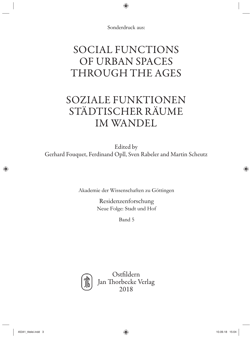Sonderdruck aus:

# SOCIAL FUNCTIONS OF URBAN SPACES THROUGH THE AGES

# SOZIALE FUNKTIONEN STÄDTISCHER RÄUME IM WANDEL

Edited by Gerhard Fouquet, Ferdinand Opll, Sven Rabeler and Martin Scheutz

Akademie der Wissenschaften zu Göttingen

Residenzenforschung Neue Folge: Stadt und Hof

Band 5

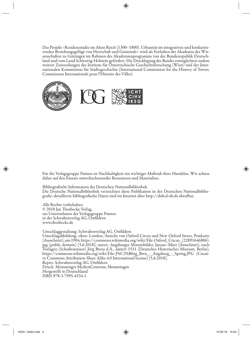Das Projekt ›Residenzstädte im Alten Reich (1300–1800). Urbanität im integrativen und konkurrierenden Beziehungsgefüge von Herrschaft und Gemeinde< wird als Vorhaben der Akademie der Wissenschaft en zu Göttingen im Rahmen des Akademienprogramms von der Bundesrepublik Deutschland und vom Land Schleswig-Holstein gefördert. Die Drucklegung des Bandes ermöglichten zudem weitere Zuwendungen des Instituts für Österreichische Geschichtsforschung (Wien) und der Internationalen Kommission für Städtegeschichte (International Commission for the History of Towns, Commission Internationale pour l'Histoire des Villes).



Für die Verlagsgruppe Patmos ist Nachhaltigkeit ein wichtiger Maßstab ihres Handelns. Wir achten daher auf den Einsatz umweltschonender Ressourcen und Materialien.

Bibliografische Information der Deutschen Nationalbibliothek

Die Deutsche Nationalbibliothek verzeichnet diese Publikation in der Deutschen Nationalbibliografie; detaillierte bibliografische Daten sind im Internet über http://dnb.d-nb.de abrufbar.

Alle Rechte vorbehalten © 2018 Jan Thorbecke Verlag, ein Unternehmen der Verlagsgruppe Patmos in der Schwabenverlag AG, Ostfildern www.thorbecke.de

Umschlaggestaltung: Schwabenverlag AG, Ostfildern

Umschlagabbildung: oben: London, Ansicht von Oxford Circus und New Oxford Street, Postkarte (Ausschnitt), um 1904, https://commons.wikimedia.org/wiki/File:Oxford\_Circus\_(22891646886). jpg (public domain) [5.6.2018]; unten: Augsburger Monatsbilder, Januar–März (Ausschnitt), nach Vorlagen (Scheibenrissen) Jörg Breus d.Ä., datiert 1531 (Deutsches Historisches Museum, Berlin), https://commons.wikimedia.org/wiki/File:J%C3%B6rg\_Breu\_-\_Augsburg\_-\_Spring.JPG (Creative Commons Attribution-Share Alike 4.0 International license) [5.6.2018]. Repro: Schwabenverlag AG, Ostfildern

Druck: Memminger MedienCentrum, Memmingen Hergestellt in Deutschland ISBN 978-3-7995-4534-1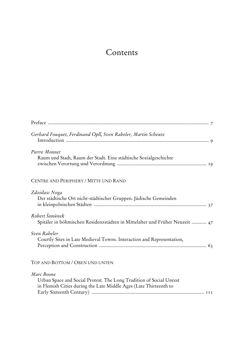# Contents

| Gerhard Fouquet, Ferdinand Opll, Sven Rabeler, Martin Scheutz                                                                                          |
|--------------------------------------------------------------------------------------------------------------------------------------------------------|
| Pierre Monnet<br>Raum und Stadt, Raum der Stadt. Eine städtische Sozialgeschichte                                                                      |
| CENTRE AND PERIPHERY / MITTE UND RAND                                                                                                                  |
| Zdzisław Noga<br>Der städtische Ort nicht-städtischer Gruppen. Jüdische Gemeinden                                                                      |
| Robert Šimůnek<br>Spitäler in böhmischen Residenzstädten in Mittelalter und Früher Neuzeit  47                                                         |
| Sven Rabeler<br>Courtly Sites in Late Medieval Towns. Interaction and Representation,                                                                  |
| TOP AND BOTTOM / OBEN UND UNTEN                                                                                                                        |
| Marc Boone<br>Urban Space and Social Protest. The Long Tradition of Social Unrest<br>in Flemish Cities during the Late Middle Ages (Late Thirteenth to |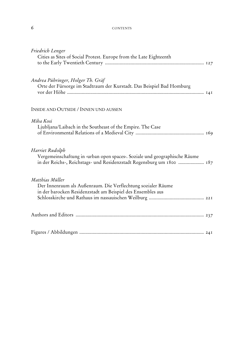# 6 CONTENTS

| Friedrich Lenger                                                                                                                                                       |
|------------------------------------------------------------------------------------------------------------------------------------------------------------------------|
| Cities as Sites of Social Protest. Europe from the Late Eighteenth                                                                                                     |
| Andrea Pühringer, Holger Th. Gräf<br>Orte der Fürsorge im Stadtraum der Kurstadt. Das Beispiel Bad Homburg                                                             |
| <b>INSIDE AND OUTSIDE / INNEN UND AUSSEN</b>                                                                                                                           |
|                                                                                                                                                                        |
| Miha Kosi<br>Ljubljana/Laibach in the Southeast of the Empire. The Case                                                                                                |
| Harriet Rudolph<br>Vergemeinschaftung in >urban open spaces<. Soziale und geographische Räume<br>in der Reichs-, Reichstags- und Residenzstadt Regensburg um 1800  187 |
| Matthias Müller<br>Der Innenraum als Außenraum. Die Verflechtung sozialer Räume<br>in der barocken Residenzstadt am Beispiel des Ensembles aus                         |
|                                                                                                                                                                        |
|                                                                                                                                                                        |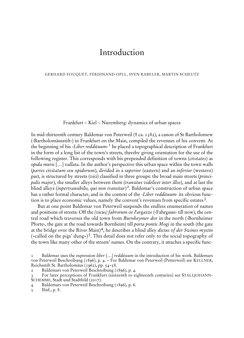# Introduction

GERHARD FOUQUET, FERDINAND OPLL, SVEN RABELER, MARTIN SCHEUTZ

### Frankfurt – Kiel – Nuremberg: dynamics of urban spaces

In mid-thirteenth century Baldemar von Peterweil († ca. 1382), a canon of St Bartholomew (›Bartholomäusstift‹) in Frankfurt on the Main, compiled the revenues of his convent. At the beginning of his *›Liber reddituum‹*[1](#page-4-0) he placed a topographical description of Frankfurt in the form of a long list of the town's streets, thereby giving orientation for the use of the following register. This corresponds with his prepended definition of towns (*civitates*) as *opida muris* […] *vallata*. In the author's perspective this urban space within the town walls (*partes civitatum seu opidorum*), divided in a *superior* (eastern) and an *inferior* (western) part, is structured by streets (*vici*) classified in three groups: the broad main streets (*principalis major*), the smaller alleys between them (*transitus videlicet inter illos*), and at last the blind alleys (*inpertransibilis, qui non transitur*) [2](#page-4-1). Baldemar's construction of urban space has a rather formal character, and in the context of the *›Liber reddituum‹* its obvious function is to place economic values, namely the convent's revenues from specific estates[3](#page-4-2).

But at one point Baldemar von Peterweil suspends the endless enumeration of names and positions of streets: Off the *(vicus) fabrorum* or *Fargazze* (>Fahrgasse\ till now), the central road which traverses the old town from *Burnheymer dor* in the north (›Bornheimer Pforte<sub>s</sub>, the gate at the road towards Bornheim) till *porta pontis Mogi* in the south (the gate at the bridge over the River Main)[4](#page-4-3), he describes a blind alley *dictus vf der Swines mystin* (»called on the pigs' dung«) [5](#page-4-4). This detail does not refer only to the social topography of the town like many other of the streets' names. On the contrary, it attaches a specific func-

<span id="page-4-0"></span><sup>1</sup> Baldemar uses the expression *liber* […] *reddituum* in the introduction of his work. Baldemars von Peterweil Beschreibung (1896), p. 4. – For Baldemar von Peterweil (Petterweil) see KELLNER, Reichsstift St. Bartholomäus (1962), pp. 54–58.

<span id="page-4-1"></span><sup>2</sup> Baldemars von Peterweil Beschreibung (1896), p. 4.

<span id="page-4-2"></span><sup>3</sup> For later perceptions of Frankfurt (sixteenth to eighteenth centuries) see STALLJOHANN-SCHEMME, Stadt und Stadtbild (2017).

<span id="page-4-3"></span><sup>4</sup> Baldemars von Peterweil Beschreibung (1896), p. 6.

<span id="page-4-4"></span><sup>5</sup> Ibid., p. 8.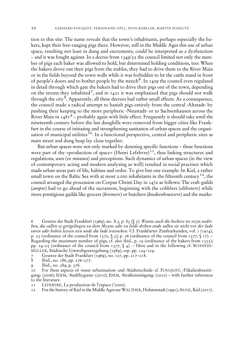tion to this site: The name reveals that the town's inhabitants, perhaps especially the bakers, kept their free-ranging pigs there. However, still in the Middle Ages this use of urban space, resulting not least in dung and excrements, could be interpreted as a dysfunction – and it was fought against. In a decree from  $1349/\sqrt{2}$  the council limited not only the number of pigs each baker was allowed to hold, but determined holding conditions, too: When the bakers drove out their pigs from the stables, they had to drive them to the River Main or in the fields beyond the town walls while it was forbidden to let the cattle stand in front of people's doors and to bother people by the stench<sup>[6](#page-5-0)</sup>. In 1409 the council even regulated in detail through which gate the bakers had to drive their pigs out of the town, depending on the streets they inhabited<sup>[7](#page-5-1)</sup>, and in  $1421$  it was emphasised that pigs should not walk through the city<sup>[8](#page-5-2)</sup>. Apparently, all these decrees had rather small effects. As a consequence, the council made a radical attempt to banish pigs entirely from the central ›Altstadt‹ by pushing their keeping to the more peripheric ›Neustadt‹ or to Sachsenhausen across the River Main in  $1481^9$  $1481^9$  – probably again with little effect. Frequently it should take until the nineteenth century before the last dunghills were removed from bigger cities like Frankfurt in the course of initiating and strengthening sanitation of urban spaces and the organi-sation of municipal utilities<sup>[10](#page-5-4)</sup>. In a functional perspective, central and peripheric sites as main street and dung heap lay close together.

But urban spaces were not only marked by denoting specific functions – these functions were part of the »production of space« (Henri Lefebvre)<sup>[11](#page-5-5)</sup>, thus linking structures and regulations, uses (or misuses) and perceptions. Such dynamics of urban spaces (in the view of contemporary acting and modern analysing as well) resulted in social practises which made urban areas part of life, habitus and order. To give but one example: In Kiel, a rather small town on the Baltic Sea with at most 2.000 inhabitants in the fifteenth century<sup>[12](#page-5-6)</sup>, the council arranged the procession on Corpus Christi Day in 1472 as follows: The craft guilds (*ampte*) had to go ahead of the sacrament, beginning with the cobblers (*oltbotere*) while more prestigious guilds like grocers (*kremere*) or butchers (*knakenhouwere*) and the marks-

- <span id="page-5-1"></span>7 Gesetze der Stadt Frankfurt (1969), no. 127, pp. 217–218.
- <span id="page-5-2"></span>8 Ibid., no. 186, pp. 276–277.
- <span id="page-5-3"></span>9 Ibid., no. 289, p. 376.

- <span id="page-5-5"></span>11 LEFEBVRE, La production de l'espace (42000).
- <span id="page-5-6"></span>12 Forthe history of Kiel in the Middle AgesseeWALTHER, Holstenstadt(1991); AUGE, Kiel(2017).

<span id="page-5-0"></span><sup>6</sup> Gesetze der Stadt Frankfurt (1969), no. A3, p. 83 (§ 5): *Wanne auch die beckere ire swyn uzdriben, die sullen sy gerigelingen zu dem Moyne adir zu felde driben unde sullen sie nicht vor der lude turen adir hoben lazsen sten unde die lude irstencken.* Cf. Frankfurter Zunfturkunden, vol. 1 (1914), p. 23 (ordinance of the council from 1372, § 5); p. 26 (ordinance of the council from 1377, § 17). – Regarding the maximum number of pigs, cf. also ibid., p. 19 (ordinance of the bakers from 1355); pp. 24–25 (ordinance of the council from 1377,  $\oint$  4). – Here and in the following cf. SCHNEID-MÜLLER, Städtische Umweltgesetzgebung (1989), esp. pp. 124–129.

<span id="page-5-4"></span><sup>10</sup> For these aspects of ›inner urbanisation‹ and ›Städtetechnik‹ cf. FOUQUET, ›Fäkalienbeseitigung‹ (2006); IDEM, ›Stadthygiene‹ (2010); IDEM, ›Straßenreinigung‹ (2010) – with further references to the literature.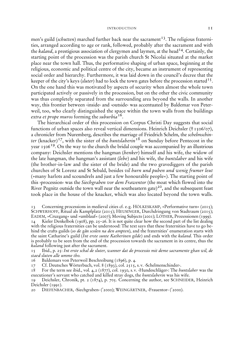#### INTRODUCTION II

men's guild (*schutten*) marched further back near the sacrament<sup>[13](#page-6-0)</sup>. The religious fraternities, arranged according to age or rank, followed, probably after the sacrament and with the *kaland*, a prestigious association of clergymen and laymen, at the head<sup>[14](#page-6-1)</sup>. Certainly, the starting point of the procession was the parish church St Nicolai situated at the market place near the town hall. Thus, the performative shaping of urban space, beginning at the religious, economic and political centre of the city, became an instrument of representing social order and hierarchy. Furthermore, it was laid down in the council's decree that the keeper of the city's keys (*sluter*) had to lock the town gates before the procession started<sup>[15](#page-6-2)</sup>. On the one hand this was motivated by aspects of security when almost the whole town participated actively or passively in the procession, but on the other the civic community was thus completely separated from the surrounding area beyond the walls. In another way, this frontier between ›inside‹ and ›outside‹ was accentuated by Baldemar von Peterweil, too, who clearly distinguished the space within the town walls from the buildings *extra et prope muros* forming the *suburbia*[16](#page-6-3).

The hierarchical order of this procession on Corpus Christi Day suggests that social functions of urban spaces also reveal vertical dimensions. Heinrich Deichsler († 1506/07), a chronicler from Nuremberg, describes the marriage of Friedrich Schelm, the *schelmschinter* (knacker)[17](#page-6-4), with the sister of the *huntslaherin*[18](#page-6-5) on Sunday before Pentecost in the year  $1506^{19}$  $1506^{19}$  $1506^{19}$ . On the way to the church the bridal couple was accompanied by an illustrious company: Deichsler mentions the hangman (*henker*) himself and his wife, the widow of the late hangman, the hangman's assistant (*lebe*) and his wife, the *huntslaher* and his wife (the brother-in-law and the sister of the bride) and the two gravediggers of the parish churches of St Lorenz and St Sebald, besides *vil hurn und puben und wenig frumer leut* (»many harlots and scoundrels and just a few honourable people«). The starting point of this ›procession‹ was the *Siechgraben vor dem Frawentor* (the moat which flowed into the River Pegnitz outside the town wall near the southeastern gate)<sup>[20](#page-6-7)</sup>, and the subsequent feast took place in the house of the knacker, which was also located beyond the town walls.

<span id="page-6-1"></span><span id="page-6-0"></span>13 Concerning processions in medieval cities cf. e.g. HÖLKESKAMP, »Performative turn« (2015); SCHWERHOFF, Ritual als Kampfplatz (2015); HEUSINGER, Durchdringung von Stadtraum (2015); EADEM, »Cruzgang« und »umblauf« (2007); Moving Subjects (2001); LÖTHER, Prozessionen (1999). Kieler Denkelbok (1908), pp. 25-26. It is not quite clear how the second part of the list dealing with the religious fraternities can be understood: The text says that these fraternities have to go behind the crafts guilds (*so de ga e n scolen na den ampten*), and the fraternities' enumeration starts with the saint Catharine's guild (*Int erste sunte Katherinen gilde*) and ends with the *kaland*. This order is probably to be seen from the end of the procession towards the sacrament in its centre, thus the *kaland* following just after the sacrament.

<span id="page-6-2"></span>15 Ibid., p. 25: *Int erste schal de sluter, wanner dat de processio mit deme sacramente ghan wil, de staed sluten alle umme tho.*

<span id="page-6-3"></span>16 Baldemars von Peterweil Beschreibung (1896), p. 4.

<span id="page-6-4"></span>17 Cf. Deutsches Wörterbuch, vol. 8 (1893), col. 2515, s. v. ›Schelmenschinder‹.

<span id="page-6-5"></span>18 For the term see ibid., vol. 4,2 (1877), col. 1930, s.v. ›Hundeschläger‹: The *huntslaher* was the executioner's servant who catched and killed stray dogs, the *huntslaherin* was his wife.

<span id="page-6-6"></span>19 Deichsler, Chronik, pt. 2 (1874), p. 705. Concerning the author, see SCHNEIDER, Heinrich Deichsler (1991).

<span id="page-6-7"></span>20 DIEFENBACHER, >Siechgraben< (2000); WEINGÄRTNER, >Frauentor< (2000).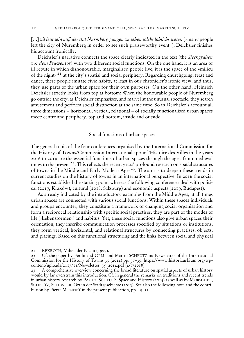[…] *vil leut sein auß der stat Nurmberg gangen zu sehen solchs löblichs wesen* (»many people left the city of Nuremberg in order to see such praiseworthy event«), Deichsler finishes his account ironically.

Deichsler's narrative connects the space clearly indicated in the text (the *Siechgraben vor dem Frawentor*) with two different social functions: On the one hand, it is an area of ill repute in which dishonourable, marginalised people live, it is the space of the »milieu of the night«[21](#page-7-0) at the city's spatial and social periphery. Regarding churchgoing, feast and dance, these people imitate civic habits, at least in our chronicler's ironic view, and thus, they use parts of the urban space for their own purposes. On the other hand, Heinrich Deichsler strictly looks from top at bottom: When the honourable people of Nuremberg go outside the city, as Deichsler emphasises, and marvel at the unusual spectacle, they search amusement and perform social distinction at the same time. So in Deichsler's account all three dimensions – horizontal, vertical, relational – of socially functionalised urban spaces meet: centre and periphery, top and bottom, inside and outside.

### Social functions of urban spaces

The general topic of the four conferences organised by the International Commission for the History of Towns/Commission Internationale pour l'Histoire des Villes in the years 2016 to 2019 are the essential functions of urban spaces through the ages, from medieval times to the present<sup>[22](#page-7-1)</sup>. This reflects the recent years<sup>'</sup> profound research on spatial structures of towns in the Middle and Early Modern Ages<sup>[23](#page-7-2)</sup>. The aim is to deepen these trends in current studies on the history of towns in an international perspective. In 2016 the social functions established the starting point whereas the following conferences deal with political (2017, Kraków), cultural (2018, Salzburg) and economic aspects (2019, Budapest).

As already indicated by the introductory examples from the Middle Ages, at all times urban spaces are connected with various social functions: Within these spaces individuals and groups encounter, they constitute a framework of changing social organisation and form a reciprocal relationship with specific social practises, they are part of the modes of life (›Lebensformen‹) and habitus. Yet, these social functions also give urban spaces their orientation, they inscribe communication processes specified by situations or institutions, they form vertical, horizontal, and relational structures by connecting practises, objects, and placings. Based on this functional structuring and the links between social and physical

<span id="page-7-2"></span>23 A comprehensive overview concerning the broad literature on spatial aspects of urban history would by far overstrain this introduction. Cf. in general the remarks on traditions and recent trends in urban history research by PAULY, SCHEUTZ, Space and History (2014) as well as by MORSCHER, SCHEUTZ, SCHUSTER, Ort in der Stadtgeschichte (2013). See also the following note and the contribution by Pierre MONNET in the present publication, pp. 19–33.

<span id="page-7-0"></span><sup>21</sup> REXROTH, Milieu der Nacht (1999).

<span id="page-7-1"></span><sup>22</sup> Cf. the paper by Ferdinand OPLL and Martin SCHEUTZ in: Newsletter of the International Commission for the History of Towns 35 (2014) pp. 37–39, https://www.historiaurbium.org/wpcontent/uploads/2017/11/Newsletter\_35\_2014.pdf [4/7/2018].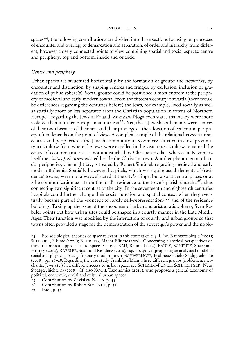spaces<sup>[24](#page-8-0)</sup>, the following contributions are divided into three sections focusing on processes of encounter and overlap, of demarcation and separation, of order and hierarchy from different, however closely connected points of view combining spatial and social aspects: centre and periphery, top and bottom, inside and outside.

# *Centre and periphery*

Urban spaces are structured horizontally by the formation of groups and networks, by encounter and distinction, by shaping centres and fringes, by exclusion, inclusion or gradation of public sphere(s). Social groups could be positioned almost entirely at the periphery of medieval and early modern towns. From the fifteenth century onwards (there would be differences regarding the centuries before) the Jews, for example, lived socially as well as spatially more or less separated from the Christian population in towns of Northern Europe – regarding the Jews in Poland, Zdzisław Noga even states that »they were more isolated than in other European countries«<sup>[25](#page-8-1)</sup>. Yet, these Jewish settlements were centres of their own because of their size and their privileges – the allocation of centre and periphery often depends on the point of view. A complex example of the relations between urban centres and peripheries is the Jewish community in Kazimierz, situated in close proximity to Kraków from where the Jews were expelled in the year 1494: Kraków remained the centre of economic interests – not undisturbed by Christian rivals – whereas in Kazimierz itself the *civitas Judeorum* existed beside the Christian town. Another phenomenon of social peripheries, one might say, is treated by Robert Šimůnek regarding medieval and early modern Bohemia: Spatially however, hospitals, which were quite usual elements of (residence) towns, were not always situated at the city's fringe, but also at central places or at »the communication axis from the lord's residence to the town's parish church«[26](#page-8-2), thus connecting two significant centres of the city. In the seventeenth and eighteenth centuries hospitals could further change their social function and spatial context when they eventually became part of the »concept of lordly self-representation«[27](#page-8-3) and of the residence buildings. Taking up the issue of the encounter of urban and aristocratic spheres, Sven Rabeler points out how urban sites could be shaped in a courtly manner in the Late Middle Ages: Their function was modified by the interaction of courtly and urban groups so that towns often provided a stage for the demonstration of the sovereign's power and the noble-

<span id="page-8-0"></span>24 For sociological theories of space relevant in this context cf. e.g. LÖW, Raumsoziologie (2001); SCHROER, Räume (2006); REHBERG, Macht-Räume (2006). Concerning historical perspectives on these theoretical approaches to spaces see e. g. RAU, Räume (2013); PAULY, SCHEUTZ, Space and History (2014); RABELER, Stadt und Residenz (2016), esp. pp. 49–51 (proposing an analytical model of social and physical spaces); for early modern towns SCHWERHOFF, Frühneuzeitliche Stadtgeschichte (2018), pp. 26–28. Regarding the case study Frankfurt/Main where different groups (noblemen, merchants, Jews etc.) had different access to urban space, see SCHMIDT-FUNKE, SCHNETTGER, Neue Stadtgeschichte(n) (2018). Cf. also KOOIJ, Taxonomies (2018), who proposes a general taxonomy of political, economic, social and cultural urban spaces.

<span id="page-8-1"></span><sup>25</sup> Contribution by Zdzisław NOGA, p. 44.

<span id="page-8-2"></span><sup>26</sup> Contribution by Robert ŠIMŮNEK, p. 52.

<span id="page-8-3"></span><sup>27</sup> Ibid., p. 55.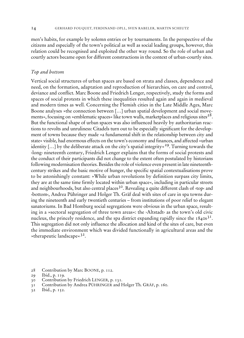men's habits, for example by solemn entries or by tournaments. In the perspective of the citizens and especially of the town's political as well as social leading groups, however, this relation could be recognised and exploited the other way round. So the role of urban and courtly actors became open for different constructions in the context of urban-courtly sites.

### *Top and bottom*

Vertical social structures of urban spaces are based on strata and classes, dependence and need, on the formation, adaptation and reproduction of hierarchies, on care and control, deviance and conflict. Marc Boone and Friedrich Lenger, respectively, study the forms and spaces of social protests in which these inequalities resulted again and again in medieval and modern times as well. Concerning the Flemish cities in the Late Middle Ages, Marc Boone analyses »the connection between […] urban spatial development and social move-ments«, focusing on »emblematic spaces« like town walls, marketplaces and religious sites<sup>[28](#page-9-0)</sup>. But the functional shape of urban spaces was also influenced heavily by authoritarian reactions to revolts and unruliness: Citadels turn out to be especially significant for the development of towns because they made »a fundamental shift in the relationship between city and state« visible, had enormous effects on the town's economy and finances, and affected »urban identity [...] by the deliberate attack on the city's spatial integrity  $\sim$  [29](#page-9-1). Turning towards the ›long‹ nineteenth century, Friedrich Lenger explains that the forms of social protests and the conduct of their participants did not change to the extent often postulated by historians following modernisation theories. Besides the role of violence even present in late nineteenthcentury strikes and the basic motive of hunger, the specific spatial contextualisations prove to be astonishingly constant: »While urban revolutions by definition surpass city limits, they are at the same time firmly located within urban space«, including in particular streets and neighbourhoods, but also central places<sup>[30](#page-9-2)</sup>. Revealing a quite different clash of >top< and ›bottom‹, Andrea Pühringer and Holger Th. Gräf deal with sites of care in spa towns during the nineteenth and early twentieth centuries – from institutions of poor relief to elegant sanatoriums. In Bad Homburg social segregations were obvious in the urban space, resulting in a »sectoral segregation of three town areas«: the ›Altstadt‹ as the town's old civic nucleus, the princely residence, and the spa district expanding rapidly since the  $1840s^{31}$  $1840s^{31}$  $1840s^{31}$ . This segregation did not only influence the allocation and kind of the sites of care, but even the immediate environment which was divided functionally in agricultural areas and the »therapeutic landscape«[32](#page-9-4).

<span id="page-9-0"></span><sup>28</sup> Contribution by Marc BOONE, p. 112.

<span id="page-9-1"></span><sup>29</sup> Ibid., p. 119.

<span id="page-9-2"></span><sup>30</sup> Contribution by Friedrich LENGER, p. 131.

<span id="page-9-3"></span><sup>31</sup> Contribution by Andrea PÜHRINGER and Holger Th. GRÄF, p. 160.

<span id="page-9-4"></span><sup>32</sup> Ibid., p. 152.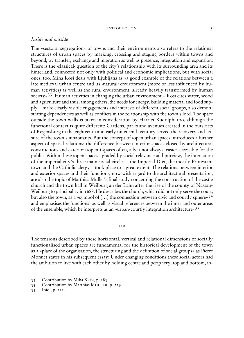#### INTRODUCTION 15

## *Inside and outside*

The »sectoral segregation« of towns and their environments also refers to the relational structures of urban spaces by marking, crossing and staging borders within towns and beyond, by transfer, exchange and migration as well as presence, integration and expansion. There is the ›classical‹ question of the city's relationship with its surrounding area and its hinterland, connected not only with political and economic implications, but with social ones, too. Miha Kosi deals with Ljubljana as »a good example of the relations between a late medieval urban centre and its ›natural‹ environment (more or less influenced by human activities) as well as the rural environment, already heavily transformed by human society $\frac{33}{10}$  $\frac{33}{10}$  $\frac{33}{10}$ . Human activities in changing the urban environment – Kosi cites water, wood and agriculture and thus, among others, the needs for energy, building material and food supply – make clearly visible engagements and interests of different social groups, also demonstrating dependencies as well as conflicts in the relationship with the town's lord. The space outside the town walls is taken in consideration by Harriet Rudolph, too, although the functional context is quite different: Gardens, parks and avenues created in the outskirts of Regensburg in the eighteenth and early nineteenth century served the recovery and leisure of the town's inhabitants. But the concept of ›open urban spaces‹ introduces a further aspect of spatial relations: the difference between interior spaces closed by architectural constructions and exterior (>open<) spaces often, albeit not always, easier accessible for the public. Within these ›open spaces‹, graded by social relevance and purview, the interaction of the imperial city's three main social circles – the Imperial Diet, the mostly Protestant town and the Catholic clergy – took place to a great extent. The relations between interior and exterior spaces and their functions, now with regard to the architectural presentation, are also the topic of Matthias Müller's final study concerning the construction of the castle church and the town hall in Weilburg an der Lahn after the rise of the county of Nassau-Weilburg to principality in 1688. He describesthe church, which did not only serve the court, but also the town, as a »symbol of [...] the connection between civic and courtly sphere« $34$ and emphasises the functional as well as visual references between the inner and outer areas of the ensemble, which he interprets as an »urban-courtly integration architecture«[35](#page-10-2).

The tensions described by these horizontal, vertical and relational dimensions of socially functionalised urban spaces are fundamental for the historical development of the town as a »place of the organisation, the structuring and the definition of social groups« as Pierre Monnet states in his subsequent essay: Under changing conditions these social actors had the ambition to live with each other by holding centre and periphery, top and bottom, in-

\*\*\*

<span id="page-10-0"></span><sup>33</sup> Contribution by Miha KOSI, p. 183.

<span id="page-10-1"></span><sup>34</sup> Contribution by Matthias MÜLLER, p. 229.

<span id="page-10-2"></span><sup>35</sup> Ibid., p. 222.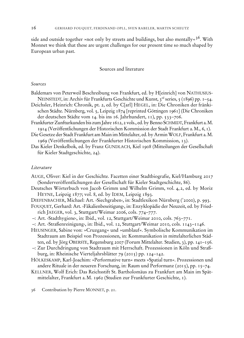side and outside together »not only by streets and buildings, but also mentally« $3<sup>6</sup>$ . With Monnet we think that these are urgent challenges for our present time so much shaped by European urban past.

## Sources and literature

### *Sources*

- Baldemars von Peterweil Beschreibung von Frankfurt, ed. by H[einrich] von NATHUSIUS-NEINSTEDT, in: Archiv für Frankfurts Geschichte und Kunst, 3<sup>rd</sup> series, 5 (1896) pp. 1-54.
- Deichsler, Heinrich: Chronik, pt. 2, ed. by C[arl] HEGEL, in: Die Chroniken der fränkischen Städte. Nürnberg, vol. 5, Leipzig 1874 [reprinted Göttingen 1961] (Die Chroniken der deutschen Städte vom 14. bis ins 16. Jahrhundert, 11), pp. 533–706.
- Frankfurter Zunfturkunden bis zum Jahre 1612, 2 vols., ed. by Benno SCHMIDT, Frankfurt a.M. 1914 (Veröffentlichungen der Historischen Kommission der Stadt Frankfurt a.M., 6, 1).

Die Gesetze der StadtFrankfurt amMain imMittelalter, ed. byArminWOLF, Frankfurt a.M. 1969 (Veröffentlichungen der Frankfurter Historischen Kommission, 13).

Das Kieler Denkelbok, ed. by Franz GUNDLACH, Kiel 1908 (Mitteilungen der Gesellschaft für Kieler Stadtgeschichte, 24).

#### *Literature*

- AUGE, Oliver: Kiel in der Geschichte. Facetten einer Stadtbiografie, Kiel/Hamburg 2017 (Sonderveröffentlichungen der Gesellschaft für Kieler Stadtgeschichte, 86).
- Deutsches Wörterbuch von Jacob Grimm und Wilhelm Grimm, vol. 4, 2, ed. by Moriz HEYNE, Leipzig 1877; vol. 8, ed. by IDEM, Leipzig 1893.
- DIEFENBACHER, Michael: Art. >Siechgraben<, in: Stadtlexikon Nürnberg (2000), p. 993.

FOUQUET, Gerhard: Art. ›Fäkalienbeseitigung‹, in: Enzyklopädie der Neuzeit, ed. by Friedrich JAEGER, vol. 3, Stuttgart/Weimar 2006, cols. 774–777.

- –: Art. ›Stadthygiene‹, in: Ibid., vol. 12, Stuttgart/Weimar 2010, cols. 763–771.
- –: Art. ›Straßenreinigung‹, in: Ibid., vol. 12, Stuttgart/Weimar 2010, cols. 1143–1146.
- HEUSINGER, Sabine von: »Cruzgang« und »umblauf«. Symbolische Kommunikation im Stadtraum am Beispiel von Prozessionen, in: Kommunikation in mittelalterlichen Städten, ed. by Jörg OBERSTE, Regensburg 2007 (Forum Mittelalter. Studien, 3), pp. 141–156.
- –: Zur Durchdringung von Stadtraum mit Herrschaft. Prozessionen in Köln und Straßburg, in: Rheinische Vierteljahrsblätter 79 (2015) pp. 124–142.
- HÖLKESKAMP, Karl-Joachim: »Performative turn« meets »Spatial turn«. Prozessionen und andere Rituale in der neueren Forschung, in: Raum und Performanz (2015), pp. 15–74.
- KELLNER, Wolf Erich: Das Reichsstift St. Bartholomäus zu Frankfurt am Main im Spätmittelalter, Frankfurt a.M. 1962 (Studien zur Frankfurter Geschichte, 1).
- <span id="page-11-0"></span>36 Contribution by Pierre MONNET, p. 21.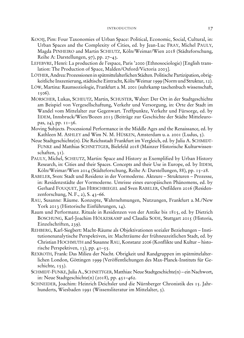- KOOIJ, Pim: Four Taxonomies of Urban Space: Political, Economic, Social, Cultural, in: Urban Spaces and the Complexity of Cities, ed. by Jean-Luc FRAY, Michel PAULY, Magda PINHEIRO and Martin SCHEUTZ, Köln/Weimar/Wien 2018 (Städteforschung, Reihe A: Darstellungen, 97), pp. 27–43.
- LEFEBVRE, Henri: La production de l'espace, Paris <sup>4</sup>2000 (Ethnosociologie) [English translation: The Production of Space, Malden/Oxford/Victoria 2003].
- LÖTHER,Andrea:Prozessionenin spätmittelalterlichen Städten. PolitischePartizipation, obrigkeitliche Inszenierung, städtische Eintracht, Köln/Weimar 1999 (Norm und Struktur, 12).
- LÖW, Martina: Raumsoziologie, Frankfurt a.M. 2001 (suhrkamp taschenbuch wissenschaft,  $1506$ ).
- MORSCHER, Lukas, SCHEUTZ, Martin, SCHUSTER, Walter: Der Ort in der Stadtgeschichte am Beispiel von Vergesellschaftung, Verkehr und Versorgung, in: Orte der Stadt im Wandel vom Mittelalter zur Gegenwart. Treffpunkte, Verkehr und Fürsorge, ed. by IIDEM, Innsbruck/Wien/Bozen 2013 (Beiträge zur Geschichte der Städte Mitteleuropas, 24), pp. 11–36.
- Moving Subjects. Processional Performance in the Middle Ages and the Renaissance, ed. by Kathleen M. ASHLEY and Wim N. M. HÜSKEN, Amsterdam u. a. 2001 (Ludus, 5).
- Neue Stadtgeschichte(n). Die Reichsstadt Frankfurt im Vergleich, ed. by Julia A. SCHMIDT-FUNKE and Matthias SCHNETTGER, Bielefeld 2018 (Mainzer Historische Kulturwissenschaften, 31).
- PAULY, Michel, SCHEUTZ, Martin: Space and History as Exemplified by Urban History Research, in: Cities and their Spaces. Concepts and their Use in Europe, ed. by IIDEM, Köln/Weimar/Wien 2014 (Städteforschung, Reihe A: Darstellungen, 88), pp. 15–28.
- RABELER, Sven: Stadt und Residenz in der Vormoderne. Akteure Strukturen Prozesse, in: Residenzstädte der Vormoderne. Umrisse eines europäischen Phänomens, ed. by Gerhard FOUQUET, Jan HIRSCHBIEGEL and Sven RABELER, Ostfildern 2016 (Residenzenforschung, N.F., 2), S. 43–66.
- RAU, Susanne: Räume. Konzepte, Wahrnehmungen, Nutzungen, Frankfurt a.M./New York 2013 (Historische Einführungen, 14).
- Raum und Performanz. Rituale in Residenzen von der Antike bis 1815, ed. by Dietrich BOSCHUNG, Karl-Joachim HÖLKESKAMP and Claudia SODE, Stuttgart 2015 (Historia, Einzelschriften, 239).
- REHBERG, Karl-Siegbert: Macht-Räume als Objektivationen sozialer Beziehungen Institutionenanalytische Perspektiven, in: Machträume der frühneuzeitlichen Stadt, ed. by Christian HOCHMUTH and Susanne RAU, Konstanz 2006 (Konflikte und Kultur – historische Perspektiven, 13), pp. 41–55.
- REXROTH, Frank: Das Milieu der Nacht. Obrigkeit und Randgruppen im spätmittelalterlichen London, Göttingen 1999 (Veröffentlichungen des Max-Planck-Instituts für Geschichte, 153).
- SCHMIDT-FUNKE,Julia A., SCHNETTGER,Matthias: Neue Stadtgeschichte(n) ein Nachwort, in: Neue Stadtgeschichte(n) (2018), pp. 451–462.
- SCHNEIDER, Joachim: Heinrich Deichsler und die Nürnberger Chronistik des 15. Jahrhunderts, Wiesbaden 1991 (Wissensliteratur im Mittelalter, 5).